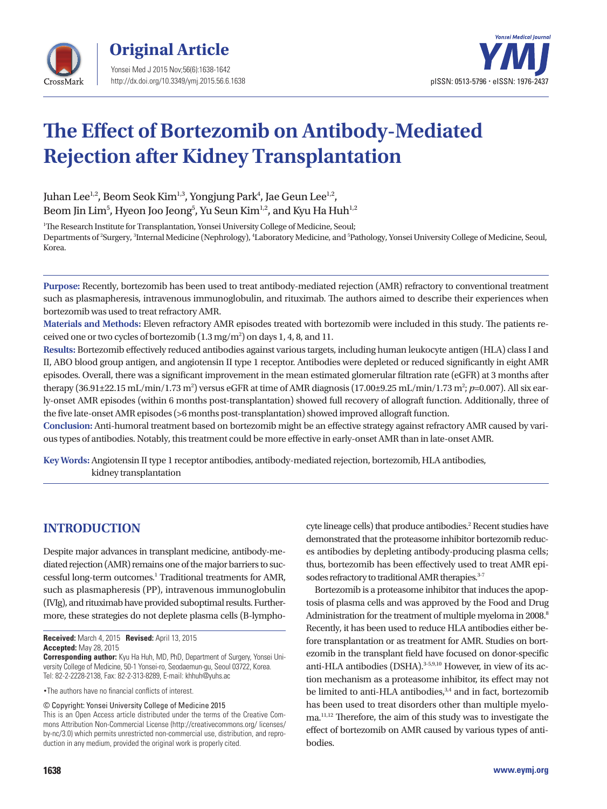



# **The Effect of Bortezomib on Antibody-Mediated Rejection after Kidney Transplantation**

Juhan Lee<sup>1,2</sup>, Beom Seok Kim<sup>1,3</sup>, Yongjung Park<sup>4</sup>, Jae Geun Lee<sup>1,2</sup>, Beom Jin Lim $^5$ , Hyeon Joo Jeong $^5$ , Yu Seun Kim $^{\rm l,2}$ , and Kyu Ha Huh $^{\rm l,2}$ 

<sup>1</sup>The Research Institute for Transplantation, Yonsei University College of Medicine, Seoul; Departments of <sup>2</sup>Surgery, <sup>3</sup>Internal Medicine (Nephrology), <sup>4</sup>Laboratory Medicine, and <sup>5</sup>Pathology, Yonsei University College of Medicine, Seoul, Korea.

**Purpose:** Recently, bortezomib has been used to treat antibody-mediated rejection (AMR) refractory to conventional treatment such as plasmapheresis, intravenous immunoglobulin, and rituximab. The authors aimed to describe their experiences when bortezomib was used to treat refractory AMR.

**Materials and Methods:** Eleven refractory AMR episodes treated with bortezomib were included in this study. The patients received one or two cycles of bortezomib (1.3 mg/m<sup>2</sup>) on days 1, 4, 8, and 11.

**Results:** Bortezomib effectively reduced antibodies against various targets, including human leukocyte antigen (HLA) class I and II, ABO blood group antigen, and angiotensin II type 1 receptor. Antibodies were depleted or reduced significantly in eight AMR episodes. Overall, there was a significant improvement in the mean estimated glomerular filtration rate (eGFR) at 3 months after therapy (36.91±22.15 mL/min/1.73 m<sup>2</sup>) versus eGFR at time of AMR diagnosis (17.00±9.25 mL/min/1.73 m<sup>2</sup>; *p*=0.007). All six early-onset AMR episodes (within 6 months post-transplantation) showed full recovery of allograft function. Additionally, three of the five late-onset AMR episodes (>6 months post-transplantation) showed improved allograft function.

**Conclusion:** Anti-humoral treatment based on bortezomib might be an effective strategy against refractory AMR caused by various types of antibodies. Notably, this treatment could be more effective in early-onset AMR than in late-onset AMR.

**Key Words:** Angiotensin II type 1 receptor antibodies, antibody-mediated rejection, bortezomib, HLA antibodies, kidney transplantation

## **INTRODUCTION**

Despite major advances in transplant medicine, antibody-mediated rejection (AMR) remains one of the major barriers to successful long-term outcomes.<sup>1</sup> Traditional treatments for AMR, such as plasmapheresis (PP), intravenous immunoglobulin (IVIg), and rituximab have provided suboptimal results. Furthermore, these strategies do not deplete plasma cells (B-lympho-

**Received:** March 4, 2015 **Revised:** April 13, 2015 **Accepted:** May 28, 2015

**Corresponding author:** Kyu Ha Huh, MD, PhD, Department of Surgery, Yonsei University College of Medicine, 50-1 Yonsei-ro, Seodaemun-gu, Seoul 03722, Korea. Tel: 82-2-2228-2138, Fax: 82-2-313-8289, E-mail: khhuh@yuhs.ac

•The authors have no financial conflicts of interest.

© Copyright: Yonsei University College of Medicine 2015

This is an Open Access article distributed under the terms of the Creative Commons Attribution Non-Commercial License (http://creativecommons.org/ licenses/ by-nc/3.0) which permits unrestricted non-commercial use, distribution, and reproduction in any medium, provided the original work is properly cited.

cyte lineage cells) that produce antibodies.<sup>2</sup> Recent studies have demonstrated that the proteasome inhibitor bortezomib reduces antibodies by depleting antibody-producing plasma cells; thus, bortezomib has been effectively used to treat AMR episodes refractory to traditional AMR therapies.<sup>3-7</sup>

Bortezomib is a proteasome inhibitor that induces the apoptosis of plasma cells and was approved by the Food and Drug Administration for the treatment of multiple myeloma in 2008.<sup>8</sup> Recently, it has been used to reduce HLA antibodies either before transplantation or as treatment for AMR. Studies on bortezomib in the transplant field have focused on donor-specific anti-HLA antibodies (DSHA).<sup>3-5,9,10</sup> However, in view of its action mechanism as a proteasome inhibitor, its effect may not be limited to anti-HLA antibodies,<sup>3,4</sup> and in fact, bortezomib has been used to treat disorders other than multiple myeloma.11,12 Therefore, the aim of this study was to investigate the effect of bortezomib on AMR caused by various types of antibodies.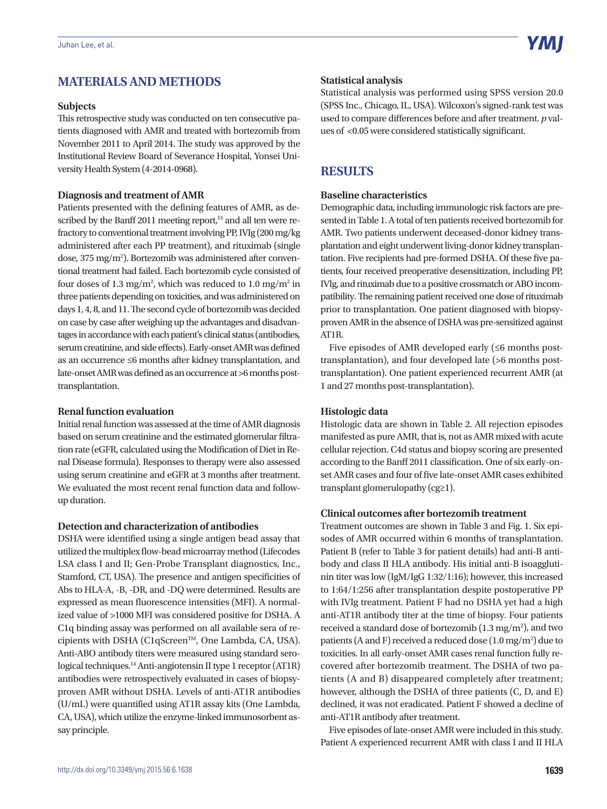## **MATERIALS AND METHODS**

#### **Subjects**

This retrospective study was conducted on ten consecutive patients diagnosed with AMR and treated with bortezomib from November 2011 to April 2014. The study was approved by the Institutional Review Board of Severance Hospital, Yonsei University Health System (4-2014-0968).

#### **Diagnosis and treatment of AMR**

Patients presented with the defining features of AMR, as described by the Banff 2011 meeting report, $13$  and all ten were refractory to conventional treatment involving PP, IVIg (200 mg/kg administered after each PP treatment), and rituximab (single dose, 375 mg/m<sup>2</sup>). Bortezomib was administered after conventional treatment had failed. Each bortezomib cycle consisted of four doses of 1.3 mg/m<sup>2</sup>, which was reduced to 1.0 mg/m<sup>2</sup> in three patients depending on toxicities, and was administered on days 1, 4, 8, and 11. The second cycle of bortezomib was decided on case by case after weighing up the advantages and disadvantages in accordance with each patient's clinical status (antibodies, serum creatinine, and side effects). Early-onset AMR was defined as an occurrence ≤6 months after kidney transplantation, and late-onset AMR was defined as an occurrence at >6 months posttransplantation.

#### **Renal function evaluation**

Initial renal function was assessed at the time of AMR diagnosis based on serum creatinine and the estimated glomerular filtration rate (eGFR, calculated using the Modification of Diet in Renal Disease formula). Responses to therapy were also assessed using serum creatinine and eGFR at 3 months after treatment. We evaluated the most recent renal function data and followup duration.

#### **Detection and characterization of antibodies**

DSHA were identified using a single antigen bead assay that utilized the multiplex flow-bead microarray method (Lifecodes LSA class I and II; Gen-Probe Transplant diagnostics, Inc., Stamford, CT, USA). The presence and antigen specificities of Abs to HLA-A, -B, -DR, and -DQ were determined. Results are expressed as mean fluorescence intensities (MFI). A normalized value of >1000 MFI was considered positive for DSHA. A C1q binding assay was performed on all available sera of recipients with DSHA (C1qScreen™, One Lambda, CA, USA). Anti-ABO antibody titers were measured using standard serological techniques.14 Anti-angiotensin II type 1 receptor (AT1R) antibodies were retrospectively evaluated in cases of biopsyproven AMR without DSHA. Levels of anti-AT1R antibodies (U/mL) were quantified using AT1R assay kits (One Lambda, CA, USA), which utilize the enzyme-linked immunosorbent assay principle.

#### **Statistical analysis**

Statistical analysis was performed using SPSS version 20.0 (SPSS Inc., Chicago, IL, USA). Wilcoxon's signed-rank test was used to compare differences before and after treatment. *p* values of <0.05 were considered statistically significant.

## **RESULTS**

#### **Baseline characteristics**

Demographic data, including immunologic risk factors are presented in Table 1. A total of ten patients received bortezomib for AMR. Two patients underwent deceased-donor kidney transplantation and eight underwent living-donor kidney transplantation. Five recipients had pre-formed DSHA. Of these five patients, four received preoperative desensitization, including PP, IVIg, and rituximab due to a positive crossmatch or ABO incompatibility. The remaining patient received one dose of rituximab prior to transplantation. One patient diagnosed with biopsyproven AMR in the absence of DSHA was pre-sensitized against AT1R.

Five episodes of AMR developed early  $(\leq 6$  months posttransplantation), and four developed late (>6 months posttransplantation). One patient experienced recurrent AMR (at 1 and 27 months post-transplantation).

#### **Histologic data**

Histologic data are shown in Table 2. All rejection episodes manifested as pure AMR, that is, not as AMR mixed with acute cellular rejection. C4d status and biopsy scoring are presented according to the Banff 2011 classification. One of six early-onset AMR cases and four of five late-onset AMR cases exhibited transplant glomerulopathy (cg≥1).

#### **Clinical outcomes after bortezomib treatment**

Treatment outcomes are shown in Table 3 and Fig. 1. Six episodes of AMR occurred within 6 months of transplantation. Patient B (refer to Table 3 for patient details) had anti-B antibody and class II HLA antibody. His initial anti-B isoagglutinin titer was low (IgM/IgG 1:32/1:16); however, this increased to 1:64/1:256 after transplantation despite postoperative PP with IVIg treatment. Patient F had no DSHA yet had a high anti-AT1R antibody titer at the time of biopsy. Four patients received a standard dose of bortezomib  $(1.3 \text{ mg/m}^2)$ , and two patients (A and F) received a reduced dose  $(1.0 \text{ mg/m}^2)$  due to toxicities. In all early-onset AMR cases renal function fully recovered after bortezomib treatment. The DSHA of two patients (A and B) disappeared completely after treatment; however, although the DSHA of three patients (C, D, and E) declined, it was not eradicated. Patient F showed a decline of anti-AT1R antibody after treatment.

Five episodes of late-onset AMR were included in this study. Patient A experienced recurrent AMR with class I and II HLA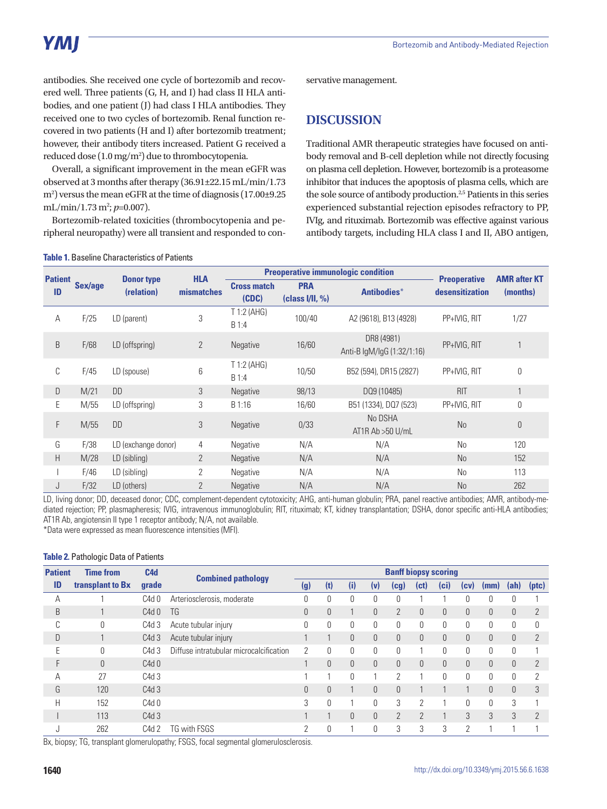antibodies. She received one cycle of bortezomib and recovered well. Three patients (G, H, and I) had class II HLA antibodies, and one patient (J) had class I HLA antibodies. They received one to two cycles of bortezomib. Renal function recovered in two patients (H and I) after bortezomib treatment; however, their antibody titers increased. Patient G received a reduced dose  $(1.0 \,\mathrm{mg/m^2})$  due to thrombocytopenia.

Overall, a significant improvement in the mean eGFR was observed at 3 months after therapy (36.91±22.15 mL/min/1.73 m2 ) versus the mean eGFR at the time of diagnosis (17.00±9.25 mL/min/1.73 m<sup>2</sup>; *p*=0.007).

Bortezomib-related toxicities (thrombocytopenia and peripheral neuropathy) were all transient and responded to con-

**Table 1.** Baseline Characteristics of Patients

servative management.

## **DISCUSSION**

Traditional AMR therapeutic strategies have focused on antibody removal and B-cell depletion while not directly focusing on plasma cell depletion. However, bortezomib is a proteasome inhibitor that induces the apoptosis of plasma cells, which are the sole source of antibody production.<sup>2,5</sup> Patients in this series experienced substantial rejection episodes refractory to PP, IVIg, and rituximab. Bortezomib was effective against various antibody targets, including HLA class I and II, ABO antigen,

|                      |         |                                 | <b>HLA</b>     |                                                             | <b>Preoperative immunologic condition</b> |                                          | <b>AMR after KT</b><br>(months) |                |
|----------------------|---------|---------------------------------|----------------|-------------------------------------------------------------|-------------------------------------------|------------------------------------------|---------------------------------|----------------|
| <b>Patient</b><br>ID | Sex/age | <b>Donor type</b><br>(relation) | mismatches     | <b>PRA</b><br><b>Cross match</b><br>(CDC)<br>(class I/II, % |                                           | Antibodies*                              |                                 |                |
| А                    | F/25    | LD (parent)                     | 3              | $T$ 1:2 (AHG)<br>B 1:4                                      | 100/40                                    | A2 (9618), B13 (4928)                    | PP+IVIG, RIT                    | 1/27           |
| B                    | F/68    | LD (offspring)                  | $\overline{2}$ | <b>Negative</b>                                             | 16/60                                     | DR8 (4981)<br>Anti-B IgM/IgG (1:32/1:16) | PP+IVIG, RIT                    |                |
| C                    | F/45    | LD (spouse)                     | 6              | $T$ 1:2 (AHG)<br>B 1:4                                      | 10/50                                     | B52 (594), DR15 (2827)                   | PP+IVIG, RIT                    | 0              |
| D                    | M/21    | <b>DD</b>                       | 3              | Negative                                                    | 98/13                                     | DQ9 (10485)                              | <b>RIT</b>                      |                |
| E                    | M/55    | LD (offspring)                  | 3              | B 1:16                                                      | 16/60                                     | B51 (1334), DQ7 (523)                    | PP+IVIG, RIT                    | 0              |
| F                    | M/55    | <b>DD</b>                       | 3              | Negative                                                    | 0/33                                      | No DSHA<br>$AT1R$ Ab $>50$ U/mL          | <b>No</b>                       | $\overline{0}$ |
| G                    | F/38    | LD (exchange donor)             | 4              | Negative                                                    | N/A                                       | N/A                                      | <b>No</b>                       | 120            |
| H                    | M/28    | LD (sibling)                    | $\overline{2}$ | Negative                                                    | N/A                                       | N/A                                      | <b>No</b>                       | 152            |
|                      | F/46    | LD (sibling)                    | 2              | Negative                                                    | N/A                                       | N/A                                      | <b>No</b>                       | 113            |
| J                    | F/32    | LD (others)                     | $\overline{2}$ | Negative                                                    | N/A                                       | N/A                                      | <b>No</b>                       | 262            |

LD, living donor; DD, deceased donor; CDC, complement-dependent cytotoxicity; AHG, anti-human globulin; PRA, panel reactive antibodies; AMR, antibody-mediated rejection; PP, plasmapheresis; IVIG, intravenous immunoglobulin; RIT, rituximab; KT, kidney transplantation; DSHA, donor specific anti-HLA antibodies; AT1R Ab, angiotensin II type 1 receptor antibody; N/A, not available. \*Data were expressed as mean fluorescence intensities (MFI).

#### **Table 2.** Pathologic Data of Patients

| <b>Patient</b> | C <sub>4d</sub><br><b>Time from</b><br>transplant to Bx<br>grade |       | <b>Combined pathology</b>               | <b>Banff biopsy scoring</b> |          |          |          |                |                |          |          |              |          |                |
|----------------|------------------------------------------------------------------|-------|-----------------------------------------|-----------------------------|----------|----------|----------|----------------|----------------|----------|----------|--------------|----------|----------------|
| ID             |                                                                  |       |                                         | (g)                         | (t)      | (i)      | (v)      | (cg)           | (ct)           | (ci)     | (CV)     | (mm)         | (ah)     | (ptc)          |
| А              |                                                                  | C4d 0 | Arteriosclerosis, moderate              |                             | 0        | $\theta$ | 0        | 0              |                |          |          | 0            | $\theta$ |                |
| B              |                                                                  | C4d0  | <b>TG</b>                               | 0                           | $\Omega$ |          | $\theta$ | $\overline{2}$ | $\theta$       | $\theta$ | $\Omega$ | $\mathbf{0}$ | $\theta$ | $\overline{2}$ |
| $\cap$<br>ı,   | $\Omega$                                                         | C4d 3 | Acute tubular injury                    | 0                           | $\theta$ | $\theta$ | 0        | $\theta$       | 0              | 0        | U        | 0            | $\theta$ | 0              |
| D              |                                                                  | C4d 3 | Acute tubular injury                    |                             |          | $\Omega$ | $\Omega$ | $\theta$       | 0              | $\Omega$ | 0        | 0            | $\theta$ | $\overline{2}$ |
| E              | $\Omega$                                                         | C4d 3 | Diffuse intratubular microcalcification | 2                           | $\theta$ | 0        | 0        | 0              | 1              | 0        | U        | 0            | 0        |                |
| F              | $\theta$                                                         | C4d0  |                                         |                             | 0        | $\Omega$ | $\theta$ | $\theta$       | 0              | $\theta$ | 0        | $\Omega$     | $\Omega$ | $\mathcal{P}$  |
| А              | 27                                                               | C4d 3 |                                         |                             |          | $\theta$ |          | 2              | 1              | $\Omega$ | U        | $\theta$     | $\Omega$ | 2              |
| G              | 120                                                              | C4d3  |                                         | O.                          | $\theta$ |          | $\theta$ | $\theta$       |                |          |          | $\Omega$     | $\theta$ | 3              |
| Н              | 152                                                              | C4d0  |                                         | 3                           | $\Omega$ |          | 0        | 3              | $\overline{2}$ |          | O.       | $\Omega$     | 3        |                |
|                | 113                                                              | C4d 3 |                                         |                             |          | $\theta$ | $\theta$ | 2              | $\overline{2}$ |          | 3        | 3            | 3        | $\overline{2}$ |
| J              | 262                                                              | C4d 2 | TG with FSGS                            | 2                           | 0        |          | 0        | 3              | 3              | 3        | 2        |              |          |                |

Bx, biopsy; TG, transplant glomerulopathy; FSGS, focal segmental glomerulosclerosis.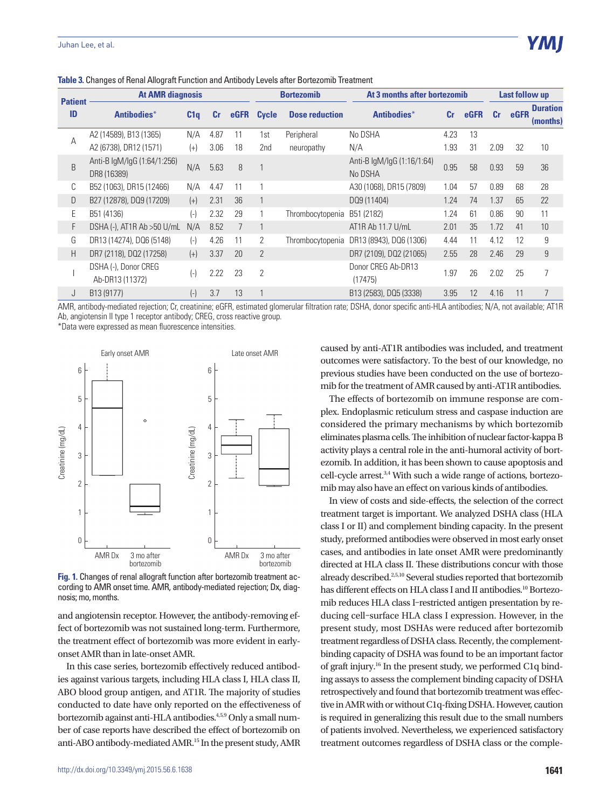| <b>Patient</b> | <b>At AMR diagnosis</b>                    |                    |      |             |                | <b>Bortezomib</b>     | At 3 months after bortezomib          |                |             |           | Last follow up |                             |  |
|----------------|--------------------------------------------|--------------------|------|-------------|----------------|-----------------------|---------------------------------------|----------------|-------------|-----------|----------------|-----------------------------|--|
| ID             | Antibodies*                                | C1q                | cr   | <b>eGFR</b> | <b>Cycle</b>   | <b>Dose reduction</b> | Antibodies*                           | c <sub>r</sub> | <b>eGFR</b> | <b>Cr</b> | eGFR           | <b>Duration</b><br>(months) |  |
| A              | A2 (14589), B13 (1365)                     | N/A                | 4.87 | 11          | 1st            | Peripheral            | No DSHA                               | 4.23           | 13          |           |                |                             |  |
|                | A2 (6738), DR12 (1571)                     | $(+)$              | 3.06 | 18          | 2nd            | neuropathy            | N/A                                   | 1.93           | 31          | 2.09      | 32             | 10                          |  |
| B              | Anti-B IgM/IgG (1:64/1:256)<br>DR8 (16389) | N/A                | 5.63 | 8           |                |                       | Anti-B IgM/IgG (1:16/1:64)<br>No DSHA | 0.95           | 58          | 0.93      | 59             | 36                          |  |
| C              | B52 (1063), DR15 (12466)                   | N/A                | 4.47 | 11          |                |                       | A30 (1068), DR15 (7809)               | 1.04           | 57          | 0.89      | 68             | 28                          |  |
| D              | B27 (12878), DQ9 (17209)                   | $(+)$              | 2.31 | 36          |                |                       | DQ9 (11404)                           | 1.24           | 74          | 1.37      | 65             | 22                          |  |
| E              | B51 (4136)                                 | (-)                | 2.32 | 29          |                | Thrombocytopenia      | B51 (2182)                            | 1.24           | 61          | 0.86      | 90             | 11                          |  |
| F              | DSHA (-), AT1R Ab > 50 U/mL                | N/A                | 8.52 |             |                |                       | AT1R Ab 11.7 U/mL                     | 2.01           | 35          | 1.72      | 41             | 10                          |  |
| G              | DR13 (14274), DQ6 (5148)                   | $(-)$              | 4.26 | 11          | 2              | Thrombocytopenia      | DR13 (8943), DQ6 (1306)               | 4.44           | 11          | 4.12      | 12             | 9                           |  |
| H              | DR7 (2118), DQ2 (17258)                    | $(+)$              | 3.37 | 20          | $\overline{2}$ |                       | DR7 (2109), DQ2 (21065)               | 2.55           | 28          | 2.46      | 29             | 9                           |  |
|                | DSHA (-), Donor CREG<br>Ab-DR13 (11372)    | $(-)$              | 2.22 | 23          | $\overline{2}$ |                       | Donor CREG Ab-DR13<br>(17475)         | 1.97           | 26          | 2.02      | 25             | 7                           |  |
| J              | B13 (9177)                                 | $(\textnormal{-})$ | 3.7  | 13          |                |                       | B13 (2583), DQ5 (3338)                | 3.95           | 12          | 4.16      | 11             | $\overline{7}$              |  |

**Table 3.** Changes of Renal Allograft Function and Antibody Levels after Bortezomib Treatment

AMR, antibody-mediated rejection; Cr, creatinine; eGFR, estimated glomerular filtration rate; DSHA, donor specific anti-HLA antibodies; N/A, not available; AT1R Ab, angiotensin II type 1 receptor antibody; CREG, cross reactive group.

\*Data were expressed as mean fluorescence intensities.



**Fig. 1.** Changes of renal allograft function after bortezomib treatment according to AMR onset time. AMR, antibody-mediated rejection; Dx, diagnosis; mo, months.

and angiotensin receptor. However, the antibody-removing effect of bortezomib was not sustained long-term. Furthermore, the treatment effect of bortezomib was more evident in earlyonset AMR than in late-onset AMR.

In this case series, bortezomib effectively reduced antibodies against various targets, including HLA class I, HLA class II, ABO blood group antigen, and AT1R. The majority of studies conducted to date have only reported on the effectiveness of bortezomib against anti-HLA antibodies.4,5,9 Only a small number of case reports have described the effect of bortezomib on anti-ABO antibody-mediated AMR.15 In the present study, AMR caused by anti-AT1R antibodies was included, and treatment outcomes were satisfactory. To the best of our knowledge, no previous studies have been conducted on the use of bortezomib for the treatment of AMR caused by anti-AT1R antibodies.

The effects of bortezomib on immune response are complex. Endoplasmic reticulum stress and caspase induction are considered the primary mechanisms by which bortezomib eliminates plasma cells. The inhibition of nuclear factor-kappa B activity plays a central role in the anti-humoral activity of bortezomib. In addition, it has been shown to cause apoptosis and cell-cycle arrest.3,4 With such a wide range of actions, bortezomib may also have an effect on various kinds of antibodies.

In view of costs and side-effects, the selection of the correct treatment target is important. We analyzed DSHA class (HLA class I or II) and complement binding capacity. In the present study, preformed antibodies were observed in most early onset cases, and antibodies in late onset AMR were predominantly directed at HLA class II. These distributions concur with those already described.2,5,10 Several studies reported that bortezomib has different effects on HLA class I and II antibodies.<sup>10</sup> Bortezomib reduces HLA class I–restricted antigen presentation by reducing cell–surface HLA class I expression. However, in the present study, most DSHAs were reduced after bortezomib treatment regardless of DSHA class. Recently, the complementbinding capacity of DSHA was found to be an important factor of graft injury.16 In the present study, we performed C1q binding assays to assess the complement binding capacity of DSHA retrospectively and found that bortezomib treatment was effective in AMR with or without C1q-fixing DSHA. However, caution is required in generalizing this result due to the small numbers of patients involved. Nevertheless, we experienced satisfactory treatment outcomes regardless of DSHA class or the comple-